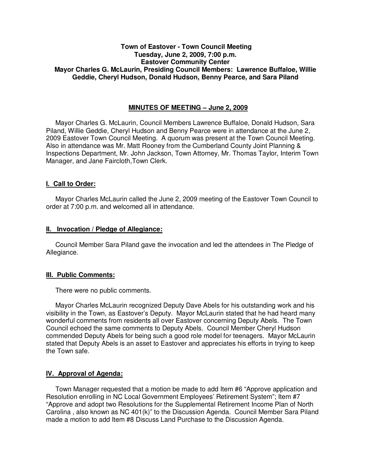## **Town of Eastover - Town Council Meeting Tuesday, June 2, 2009, 7:00 p.m. Eastover Community Center Mayor Charles G. McLaurin, Presiding Council Members: Lawrence Buffaloe, Willie Geddie, Cheryl Hudson, Donald Hudson, Benny Pearce, and Sara Piland**

## **MINUTES OF MEETING – June 2, 2009**

Mayor Charles G. McLaurin, Council Members Lawrence Buffaloe, Donald Hudson, Sara Piland, Willie Geddie, Cheryl Hudson and Benny Pearce were in attendance at the June 2, 2009 Eastover Town Council Meeting. A quorum was present at the Town Council Meeting. Also in attendance was Mr. Matt Rooney from the Cumberland County Joint Planning & Inspections Department, Mr. John Jackson, Town Attorney, Mr. Thomas Taylor, Interim Town Manager, and Jane Faircloth,Town Clerk.

## **I. Call to Order:**

Mayor Charles McLaurin called the June 2, 2009 meeting of the Eastover Town Council to order at 7:00 p.m. and welcomed all in attendance.

## **II. Invocation / Pledge of Allegiance:**

 Council Member Sara Piland gave the invocation and led the attendees in The Pledge of Allegiance.

## **III. Public Comments:**

There were no public comments.

 Mayor Charles McLaurin recognized Deputy Dave Abels for his outstanding work and his visibility in the Town, as Eastover's Deputy. Mayor McLaurin stated that he had heard many wonderful comments from residents all over Eastover concerning Deputy Abels. The Town Council echoed the same comments to Deputy Abels. Council Member Cheryl Hudson commended Deputy Abels for being such a good role model for teenagers. Mayor McLaurin stated that Deputy Abels is an asset to Eastover and appreciates his efforts in trying to keep the Town safe.

## **IV. Approval of Agenda:**

 Town Manager requested that a motion be made to add Item #6 "Approve application and Resolution enrolling in NC Local Government Employees' Retirement System"; Item #7 "Approve and adopt two Resolutions for the Supplemental Retirement Income Plan of North Carolina , also known as NC 401(k)" to the Discussion Agenda. Council Member Sara Piland made a motion to add Item #8 Discuss Land Purchase to the Discussion Agenda.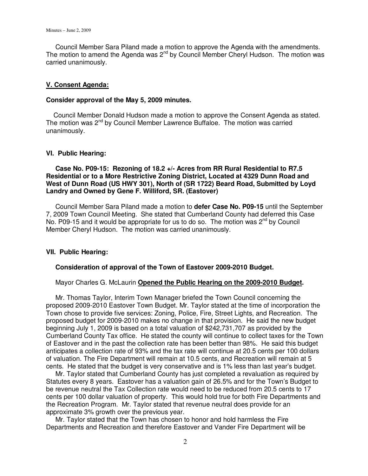Council Member Sara Piland made a motion to approve the Agenda with the amendments. The motion to amend the Agenda was 2<sup>nd</sup> by Council Member Cheryl Hudson. The motion was carried unanimously.

### **V. Consent Agenda:**

### **Consider approval of the May 5, 2009 minutes.**

 Council Member Donald Hudson made a motion to approve the Consent Agenda as stated. The motion was 2<sup>nd</sup> by Council Member Lawrence Buffaloe. The motion was carried unanimously.

### **VI. Public Hearing:**

 **Case No. P09-15: Rezoning of 18.2 +/- Acres from RR Rural Residential to R7.5 Residential or to a More Restrictive Zoning District, Located at 4329 Dunn Road and West of Dunn Road (US HWY 301), North of (SR 1722) Beard Road, Submitted by Loyd Landry and Owned by Gene F. Williford, SR. (Eastover)** 

 Council Member Sara Piland made a motion to **defer Case No. P09-15** until the September 7, 2009 Town Council Meeting. She stated that Cumberland County had deferred this Case No. P09-15 and it would be appropriate for us to do so. The motion was  $2^{nd}$  by Council Member Cheryl Hudson. The motion was carried unanimously.

#### **VII. Public Hearing:**

### **Consideration of approval of the Town of Eastover 2009-2010 Budget.**

#### Mayor Charles G. McLaurin **Opened the Public Hearing on the 2009-2010 Budget.**

 Mr. Thomas Taylor, Interim Town Manager briefed the Town Council concerning the proposed 2009-2010 Eastover Town Budget. Mr. Taylor stated at the time of incorporation the Town chose to provide five services: Zoning, Police, Fire, Street Lights, and Recreation. The proposed budget for 2009-2010 makes no change in that provision. He said the new budget beginning July 1, 2009 is based on a total valuation of \$242,731,707 as provided by the Cumberland County Tax office. He stated the county will continue to collect taxes for the Town of Eastover and in the past the collection rate has been better than 98%. He said this budget anticipates a collection rate of 93% and the tax rate will continue at 20.5 cents per 100 dollars of valuation. The Fire Department will remain at 10.5 cents, and Recreation will remain at 5 cents. He stated that the budget is very conservative and is 1% less than last year's budget.

 Mr. Taylor stated that Cumberland County has just completed a revaluation as required by Statutes every 8 years. Eastover has a valuation gain of 26.5% and for the Town's Budget to be revenue neutral the Tax Collection rate would need to be reduced from 20.5 cents to 17 cents per 100 dollar valuation of property. This would hold true for both Fire Departments and the Recreation Program. Mr. Taylor stated that revenue neutral does provide for an approximate 3% growth over the previous year.

 Mr. Taylor stated that the Town has chosen to honor and hold harmless the Fire Departments and Recreation and therefore Eastover and Vander Fire Department will be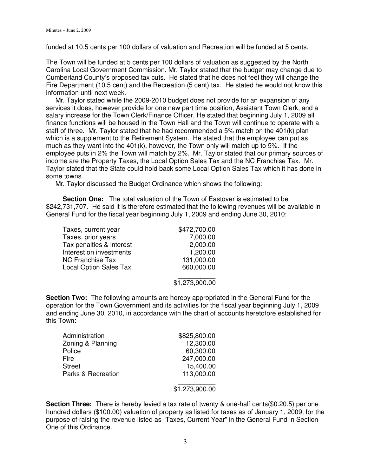funded at 10.5 cents per 100 dollars of valuation and Recreation will be funded at 5 cents.

The Town will be funded at 5 cents per 100 dollars of valuation as suggested by the North Carolina Local Government Commission. Mr. Taylor stated that the budget may change due to Cumberland County's proposed tax cuts. He stated that he does not feel they will change the Fire Department (10.5 cent) and the Recreation (5 cent) tax. He stated he would not know this information until next week.

 Mr. Taylor stated while the 2009-2010 budget does not provide for an expansion of any services it does, however provide for one new part time position, Assistant Town Clerk, and a salary increase for the Town Clerk/Finance Officer. He stated that beginning July 1, 2009 all finance functions will be housed in the Town Hall and the Town will continue to operate with a staff of three. Mr. Taylor stated that he had recommended a 5% match on the 401(k) plan which is a supplement to the Retirement System. He stated that the employee can put as much as they want into the 401(k), however, the Town only will match up to 5%. If the employee puts in 2% the Town will match by 2%. Mr. Taylor stated that our primary sources of income are the Property Taxes, the Local Option Sales Tax and the NC Franchise Tax. Mr. Taylor stated that the State could hold back some Local Option Sales Tax which it has done in some towns.

Mr. Taylor discussed the Budget Ordinance which shows the following:

**Section One:** The total valuation of the Town of Eastover is estimated to be \$242,731,707. He said it is therefore estimated that the following revenues will be available in General Fund for the fiscal year beginning July 1, 2009 and ending June 30, 2010:

| Taxes, current year           | \$472,700.00 |
|-------------------------------|--------------|
| Taxes, prior years            | 7,000.00     |
| Tax penalties & interest      | 2,000.00     |
| Interest on investments       | 1,200.00     |
| <b>NC Franchise Tax</b>       | 131,000.00   |
| <b>Local Option Sales Tax</b> | 660,000.00   |
|                               |              |

\$1,273,900.00

**Section Two:** The following amounts are hereby appropriated in the General Fund for the operation for the Town Government and its activities for the fiscal year beginning July 1, 2009 and ending June 30, 2010, in accordance with the chart of accounts heretofore established for this Town:

| Administration     | \$825,800.00 |
|--------------------|--------------|
| Zoning & Planning  | 12,300.00    |
| Police             | 60,300.00    |
| Fire               | 247,000.00   |
| <b>Street</b>      | 15,400.00    |
| Parks & Recreation | 113,000.00   |
|                    |              |

#### \$1,273,900.00

**Section Three:** There is hereby levied a tax rate of twenty & one-half cents(\$0.20.5) per one hundred dollars (\$100.00) valuation of property as listed for taxes as of January 1, 2009, for the purpose of raising the revenue listed as "Taxes, Current Year" in the General Fund in Section One of this Ordinance.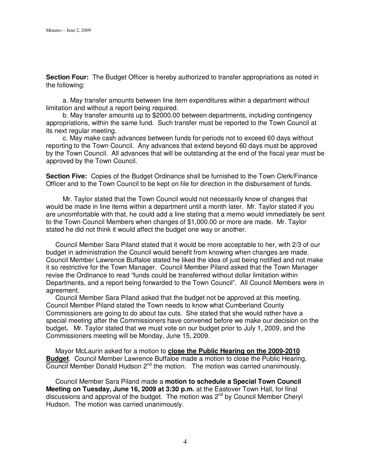**Section Four:** The Budget Officer is hereby authorized to transfer appropriations as noted in the following:

 a. May transfer amounts between line item expenditures within a department without limitation and without a report being required.

 b. May transfer amounts up to \$2000.00 between departments, including contingency appropriations, within the same fund. Such transfer must be reported to the Town Council at its next regular meeting.

 c. May make cash advances between funds for periods not to exceed 60 days without reporting to the Town Council. Any advances that extend beyond 60 days must be approved by the Town Council. All advances that will be outstanding at the end of the fiscal year must be approved by the Town Council.

**Section Five:** Copies of the Budget Ordinance shall be furnished to the Town Clerk/Finance Officer and to the Town Council to be kept on file for direction in the disbursement of funds.

 Mr. Taylor stated that the Town Council would not necessarily know of changes that would be made in line items within a department until a month later. Mr. Taylor stated if you are uncomfortable with that, he could add a line stating that a memo would immediately be sent to the Town Council Members when changes of \$1,000.00 or more are made. Mr. Taylor stated he did not think it would affect the budget one way or another.

 Council Member Sara Piland stated that it would be more acceptable to her, with 2/3 of our budget in administration the Council would benefit from knowing when changes are made. Council Member Lawrence Buffaloe stated he liked the idea of just being notified and not make it so restrictive for the Town Manager. Council Member Piland asked that the Town Manager revise the Ordinance to read "funds could be transferred without dollar limitation within Departments, and a report being forwarded to the Town Council". All Council Members were in agreement.

 Council Member Sara Piland asked that the budget not be approved at this meeting. Council Member Piland stated the Town needs to know what Cumberland County Commissioners are going to do about tax cuts. She stated that she would rather have a special meeting after the Commissioners have convened before we make our decision on the budget**.** Mr. Taylor stated that we must vote on our budget prior to July 1, 2009, and the Commissioners meeting will be Monday, June 15, 2009.

 Mayor McLaurin asked for a motion to **close the Public Hearing on the 2009-2010 Budget**. Council Member Lawrence Buffaloe made a motion to close the Public Hearing. Council Member Donald Hudson 2<sup>nd</sup> the motion. The motion was carried unanimously.

 Council Member Sara Piland made a **motion to schedule a Special Town Council Meeting on Tuesday, June 16, 2009 at 3:30 p.m.** at the Eastover Town Hall, for final discussions and approval of the budget. The motion was 2<sup>nd</sup> by Council Member Cheryl Hudson. The motion was carried unanimously.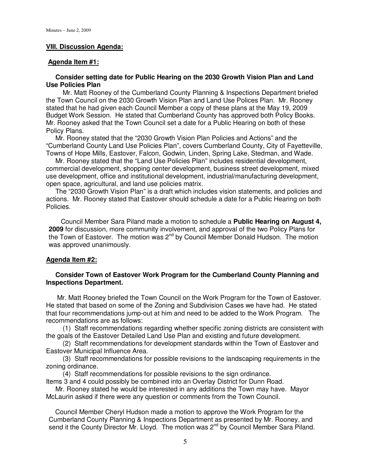### **VIII. Discussion Agenda:**

### **Agenda Item #1:**

## **Consider setting date for Public Hearing on the 2030 Growth Vision Plan and Land Use Policies Plan**

 Mr. Matt Rooney of the Cumberland County Planning & Inspections Department briefed the Town Council on the 2030 Growth Vision Plan and Land Use Polices Plan. Mr. Rooney stated that he had given each Council Member a copy of these plans at the May 19, 2009 Budget Work Session. He stated that Cumberland County has approved both Policy Books. Mr. Rooney asked that the Town Council set a date for a Public Hearing on both of these Policy Plans.

 Mr. Rooney stated that the "2030 Growth Vision Plan Policies and Actions" and the "Cumberland County Land Use Policies Plan", covers Cumberland County, City of Fayetteville, Towns of Hope Mills, Eastover, Falcon, Godwin, Linden, Spring Lake, Stedman, and Wade.

 Mr. Rooney stated that the "Land Use Policies Plan" includes residential development, commercial development, shopping center development, business street development, mixed use development, office and institutional development, industrial/manufacturing development, open space, agricultural, and land use policies matrix.

 The "2030 Growth Vision Plan" is a draft which includes vision statements, and policies and actions. Mr. Rooney stated that Eastover should schedule a date for a Public Hearing on both Policies.

Council Member Sara Piland made a motion to schedule a **Public Hearing on August 4, 2009** for discussion, more community involvement, and approval of the two Policy Plans for the Town of Eastover. The motion was 2nd by Council Member Donald Hudson.The motion was approved unanimously.

## **Agenda Item #2:**

## **Consider Town of Eastover Work Program for the Cumberland County Planning and Inspections Department.**

 Mr. Matt Rooney briefed the Town Council on the Work Program for the Town of Eastover. He stated that based on some of the Zoning and Subdivision Cases we have had. He stated that four recommendations jump-out at him and need to be added to the Work Program. The recommendations are as follows:

 (1) Staff recommendations regarding whether specific zoning districts are consistent with the goals of the Eastover Detailed Land Use Plan and existing and future development.

 (2) Staff recommendations for development standards within the Town of Eastover and Eastover Municipal Influence Area.

 (3) Staff recommendations for possible revisions to the landscaping requirements in the zoning ordinance.

(4) Staff recommendations for possible revisions to the sign ordinance.

Items 3 and 4 could possibly be combined into an Overlay District for Dunn Road.

 Mr. Rooney stated he would be interested in any additions the Town may have. Mayor McLaurin asked if there were any question or comments from the Town Council.

Council Member Cheryl Hudson made a motion to approve the Work Program for the Cumberland County Planning & Inspections Department as presented by Mr. Rooney, and send it the County Director Mr. Lloyd. The motion was 2<sup>nd</sup> by Council Member Sara Piland.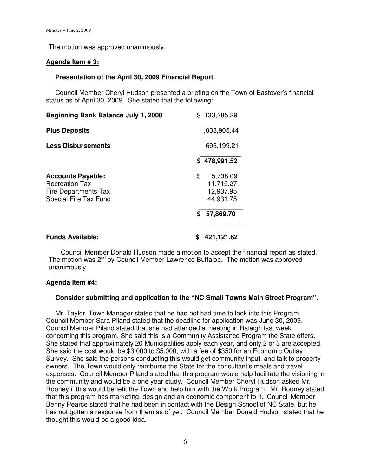The motion was approved unanimously.

## **Agenda Item # 3:**

## **Presentation of the April 30, 2009 Financial Report.**

Council Member Cheryl Hudson presented a briefing on the Town of Eastover's financial status as of April 30, 2009. She stated that the following:

| <b>Beginning Bank Balance July 1, 2008</b>                                                         | \$<br>133,285.29                                      |
|----------------------------------------------------------------------------------------------------|-------------------------------------------------------|
| <b>Plus Deposits</b>                                                                               | 1,038,905.44                                          |
| <b>Less Disbursements</b>                                                                          | 693,199.21                                            |
|                                                                                                    | \$478,991.52                                          |
| <b>Accounts Payable:</b><br><b>Recreation Tax</b><br>Fire Departments Tax<br>Special Fire Tax Fund | \$<br>5,738.09<br>11,715.27<br>12,937.95<br>44,931.75 |
|                                                                                                    | 57,869.70<br>\$                                       |
| <b>Funds Available:</b>                                                                            | 421,121.82                                            |

Council Member Donald Hudson made a motion to accept the financial report as stated. The motion was 2nd by Council Member Lawrence Buffaloe**.** The motion was approved unanimously.

## **Agenda Item #4:**

## **Consider submitting and application to the "NC Small Towns Main Street Program".**

Mr. Taylor, Town Manager stated that he had not had time to look into this Program. Council Member Sara Piland stated that the deadline for application was June 30, 2009. Council Member Piland stated that she had attended a meeting in Raleigh last week concerning this program. She said this is a Community Assistance Program the State offers. She stated that approximately 20 Municipalities apply each year, and only 2 or 3 are accepted. She said the cost would be \$3,000 to \$5,000, with a fee of \$350 for an Economic Outlay Survey. She said the persons conducting this would get community input, and talk to property owners. The Town would only reimburse the State for the consultant's meals and travel expenses. Council Member Piland stated that this program would help facilitate the visioning in the community and would be a one year study. Council Member Cheryl Hudson asked Mr. Rooney if this would benefit the Town and help him with the Work Program. Mr. Rooney stated that this program has marketing, design and an economic component to it. Council Member Benny Pearce stated that he had been in contact with the Design School of NC State, but he has not gotten a response from them as of yet. Council Member Donald Hudson stated that he thought this would be a good idea.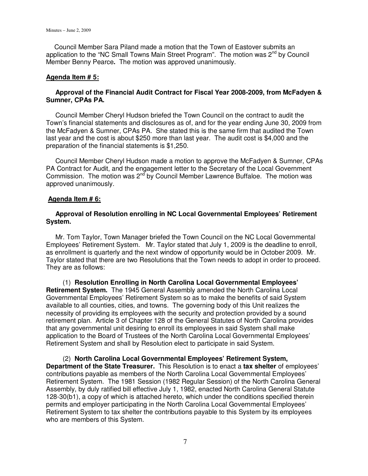Council Member Sara Piland made a motion that the Town of Eastover submits an application to the "NC Small Towns Main Street Program". The motion was  $2<sup>nd</sup>$  by Council Member Benny Pearce**.** The motion was approved unanimously.

## **Agenda Item # 5:**

## **Approval of the Financial Audit Contract for Fiscal Year 2008-2009, from McFadyen & Sumner, CPAs PA.**

 Council Member Cheryl Hudson briefed the Town Council on the contract to audit the Town's financial statements and disclosures as of, and for the year ending June 30, 2009 from the McFadyen & Sumner, CPAs PA. She stated this is the same firm that audited the Town last year and the cost is about \$250 more than last year. The audit cost is \$4,000 and the preparation of the financial statements is \$1,250.

 Council Member Cheryl Hudson made a motion to approve the McFadyen & Sumner, CPAs PA Contract for Audit, and the engagement letter to the Secretary of the Local Government Commission. The motion was  $2<sup>nd</sup>$  by Council Member Lawrence Buffaloe. The motion was approved unanimously.

## **Agenda Item # 6:**

## **Approval of Resolution enrolling in NC Local Governmental Employees' Retirement System.**

 Mr. Tom Taylor, Town Manager briefed the Town Council on the NC Local Governmental Employees' Retirement System. Mr. Taylor stated that July 1, 2009 is the deadline to enroll, as enrollment is quarterly and the next window of opportunity would be in October 2009. Mr. Taylor stated that there are two Resolutions that the Town needs to adopt in order to proceed. They are as follows:

 (1) **Resolution Enrolling in North Carolina Local Governmental Employees' Retirement System.** The 1945 General Assembly amended the North Carolina Local Governmental Employees' Retirement System so as to make the benefits of said System available to all counties, cities, and towns. The governing body of this Unit realizes the necessity of providing its employees with the security and protection provided by a sound retirement plan. Article 3 of Chapter 128 of the General Statutes of North Carolina provides that any governmental unit desiring to enroll its employees in said System shall make application to the Board of Trustees of the North Carolina Local Governmental Employees' Retirement System and shall by Resolution elect to participate in said System.

 (2) **North Carolina Local Governmental Employees' Retirement System, Department of the State Treasurer.** This Resolution is to enact a **tax shelter** of employees' contributions payable as members of the North Carolina Local Governmental Employees' Retirement System. The 1981 Session (1982 Regular Session) of the North Carolina General Assembly, by duly ratified bill effective July 1, 1982, enacted North Carolina General Statute 128-30(b1), a copy of which is attached hereto, which under the conditions specified therein permits and employer participating in the North Carolina Local Governmental Employees' Retirement System to tax shelter the contributions payable to this System by its employees who are members of this System.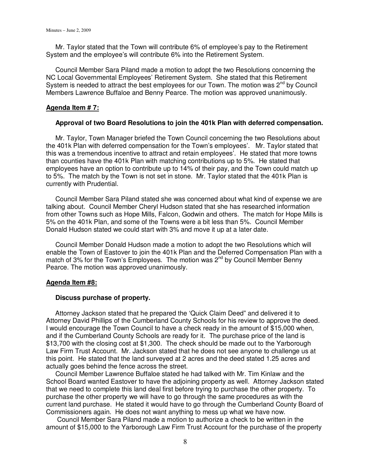Mr. Taylor stated that the Town will contribute 6% of employee's pay to the Retirement System and the employee's will contribute 6% into the Retirement System.

 Council Member Sara Piland made a motion to adopt the two Resolutions concerning the NC Local Governmental Employees' Retirement System. She stated that this Retirement System is needed to attract the best employees for our Town. The motion was  $2^{nd}$  by Council Members Lawrence Buffaloe and Benny Pearce. The motion was approved unanimously.

### **Agenda Item # 7:**

### **Approval of two Board Resolutions to join the 401k Plan with deferred compensation.**

 Mr. Taylor, Town Manager briefed the Town Council concerning the two Resolutions about the 401k Plan with deferred compensation for the Town's employees'. Mr. Taylor stated that this was a tremendous incentive to attract and retain employees'. He stated that more towns than counties have the 401k Plan with matching contributions up to 5%. He stated that employees have an option to contribute up to 14% of their pay, and the Town could match up to 5%. The match by the Town is not set in stone. Mr. Taylor stated that the 401k Plan is currently with Prudential.

 Council Member Sara Piland stated she was concerned about what kind of expense we are talking about. Council Member Cheryl Hudson stated that she has researched information from other Towns such as Hope Mills, Falcon, Godwin and others. The match for Hope Mills is 5% on the 401k Plan, and some of the Towns were a bit less than 5%. Council Member Donald Hudson stated we could start with 3% and move it up at a later date.

 Council Member Donald Hudson made a motion to adopt the two Resolutions which will enable the Town of Eastover to join the 401k Plan and the Deferred Compensation Plan with a match of 3% for the Town's Employees. The motion was 2<sup>nd</sup> by Council Member Benny Pearce. The motion was approved unanimously.

#### **Agenda Item #8:**

#### **Discuss purchase of property.**

 Attorney Jackson stated that he prepared the 'Quick Claim Deed" and delivered it to Attorney David Phillips of the Cumberland County Schools for his review to approve the deed. I would encourage the Town Council to have a check ready in the amount of \$15,000 when, and if the Cumberland County Schools are ready for it. The purchase price of the land is \$13,700 with the closing cost at \$1,300. The check should be made out to the Yarborough Law Firm Trust Account. Mr. Jackson stated that he does not see anyone to challenge us at this point. He stated that the land surveyed at 2 acres and the deed stated 1.25 acres and actually goes behind the fence across the street.

 Council Member Lawrence Buffaloe stated he had talked with Mr. Tim Kinlaw and the School Board wanted Eastover to have the adjoining property as well. Attorney Jackson stated that we need to complete this land deal first before trying to purchase the other property. To purchase the other property we will have to go through the same procedures as with the current land purchase. He stated it would have to go through the Cumberland County Board of Commissioners again. He does not want anything to mess up what we have now.

 Council Member Sara Piland made a motion to authorize a check to be written in the amount of \$15,000 to the Yarborough Law Firm Trust Account for the purchase of the property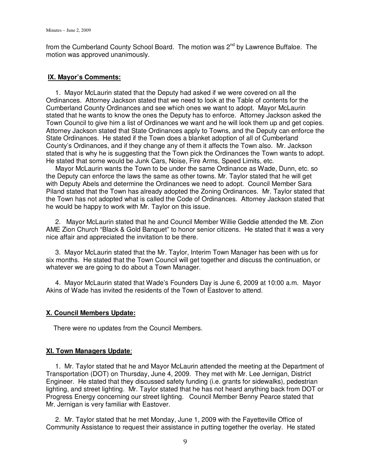from the Cumberland County School Board. The motion was  $2^{nd}$  by Lawrence Buffaloe. The motion was approved unanimously.

## **IX. Mayor's Comments:**

 1. Mayor McLaurin stated that the Deputy had asked if we were covered on all the Ordinances. Attorney Jackson stated that we need to look at the Table of contents for the Cumberland County Ordinances and see which ones we want to adopt. Mayor McLaurin stated that he wants to know the ones the Deputy has to enforce. Attorney Jackson asked the Town Council to give him a list of Ordinances we want and he will look them up and get copies. Attorney Jackson stated that State Ordinances apply to Towns, and the Deputy can enforce the State Ordinances. He stated if the Town does a blanket adoption of all of Cumberland County's Ordinances, and if they change any of them it affects the Town also. Mr. Jackson stated that is why he is suggesting that the Town pick the Ordinances the Town wants to adopt. He stated that some would be Junk Cars, Noise, Fire Arms, Speed Limits, etc.

 Mayor McLaurin wants the Town to be under the same Ordinance as Wade, Dunn, etc. so the Deputy can enforce the laws the same as other towns. Mr. Taylor stated that he will get with Deputy Abels and determine the Ordinances we need to adopt. Council Member Sara Piland stated that the Town has already adopted the Zoning Ordinances. Mr. Taylor stated that the Town has not adopted what is called the Code of Ordinances. Attorney Jackson stated that he would be happy to work with Mr. Taylor on this issue.

 2. Mayor McLaurin stated that he and Council Member Willie Geddie attended the Mt. Zion AME Zion Church "Black & Gold Banquet" to honor senior citizens. He stated that it was a very nice affair and appreciated the invitation to be there.

 3. Mayor McLaurin stated that the Mr. Taylor, Interim Town Manager has been with us for six months. He stated that the Town Council will get together and discuss the continuation, or whatever we are going to do about a Town Manager.

 4. Mayor McLaurin stated that Wade's Founders Day is June 6, 2009 at 10:00 a.m. Mayor Akins of Wade has invited the residents of the Town of Eastover to attend.

## **X. Council Members Update:**

There were no updates from the Council Members.

## **XI. Town Managers Update**:

 1. Mr. Taylor stated that he and Mayor McLaurin attended the meeting at the Department of Transportation (DOT) on Thursday, June 4, 2009. They met with Mr. Lee Jernigan, District Engineer. He stated that they discussed safety funding (i.e. grants for sidewalks), pedestrian lighting, and street lighting. Mr. Taylor stated that he has not heard anything back from DOT or Progress Energy concerning our street lighting. Council Member Benny Pearce stated that Mr. Jernigan is very familiar with Eastover.

 2. Mr. Taylor stated that he met Monday, June 1, 2009 with the Fayetteville Office of Community Assistance to request their assistance in putting together the overlay. He stated